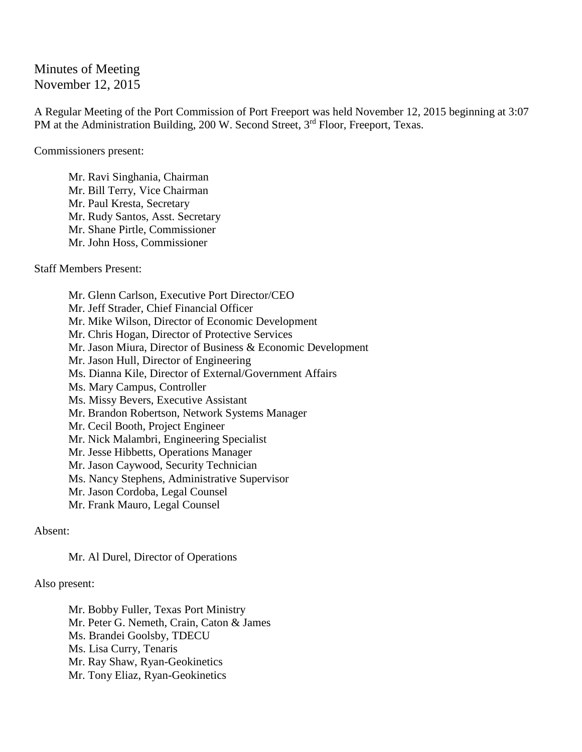Minutes of Meeting November 12, 2015

A Regular Meeting of the Port Commission of Port Freeport was held November 12, 2015 beginning at 3:07 PM at the Administration Building, 200 W. Second Street, 3<sup>rd</sup> Floor, Freeport, Texas.

Commissioners present:

Mr. Ravi Singhania, Chairman Mr. Bill Terry, Vice Chairman Mr. Paul Kresta, Secretary Mr. Rudy Santos, Asst. Secretary Mr. Shane Pirtle, Commissioner Mr. John Hoss, Commissioner

Staff Members Present:

Mr. Glenn Carlson, Executive Port Director/CEO Mr. Jeff Strader, Chief Financial Officer Mr. Mike Wilson, Director of Economic Development Mr. Chris Hogan, Director of Protective Services Mr. Jason Miura, Director of Business & Economic Development Mr. Jason Hull, Director of Engineering Ms. Dianna Kile, Director of External/Government Affairs Ms. Mary Campus, Controller Ms. Missy Bevers, Executive Assistant Mr. Brandon Robertson, Network Systems Manager Mr. Cecil Booth, Project Engineer Mr. Nick Malambri, Engineering Specialist Mr. Jesse Hibbetts, Operations Manager Mr. Jason Caywood, Security Technician Ms. Nancy Stephens, Administrative Supervisor Mr. Jason Cordoba, Legal Counsel Mr. Frank Mauro, Legal Counsel

Absent:

Mr. Al Durel, Director of Operations

Also present:

Mr. Bobby Fuller, Texas Port Ministry Mr. Peter G. Nemeth, Crain, Caton & James Ms. Brandei Goolsby, TDECU Ms. Lisa Curry, Tenaris Mr. Ray Shaw, Ryan-Geokinetics Mr. Tony Eliaz, Ryan-Geokinetics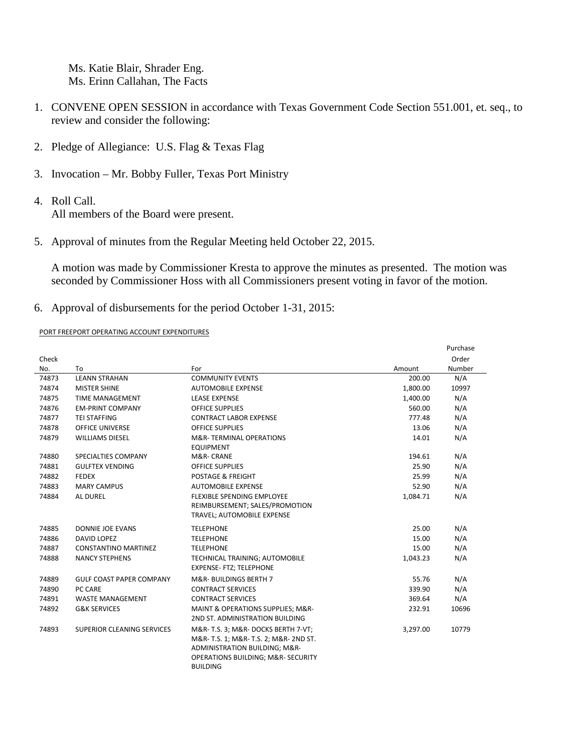Ms. Katie Blair, Shrader Eng. Ms. Erinn Callahan, The Facts

- 1. CONVENE OPEN SESSION in accordance with Texas Government Code Section 551.001, et. seq., to review and consider the following:
- 2. Pledge of Allegiance: U.S. Flag & Texas Flag
- 3. Invocation Mr. Bobby Fuller, Texas Port Ministry
- 4. Roll Call.

All members of the Board were present.

5. Approval of minutes from the Regular Meeting held October 22, 2015.

A motion was made by Commissioner Kresta to approve the minutes as presented. The motion was seconded by Commissioner Hoss with all Commissioners present voting in favor of the motion.

6. Approval of disbursements for the period October 1-31, 2015:

PORT FREEPORT OPERATING ACCOUNT EXPENDITURES

|       |                                   |                                                  |          | Purchase |
|-------|-----------------------------------|--------------------------------------------------|----------|----------|
| Check |                                   |                                                  |          | Order    |
| No.   | To                                | For                                              | Amount   | Number   |
| 74873 | <b>LEANN STRAHAN</b>              | <b>COMMUNITY EVENTS</b>                          | 200.00   | N/A      |
| 74874 | <b>MISTER SHINE</b>               | <b>AUTOMOBILE EXPENSE</b>                        | 1,800.00 | 10997    |
| 74875 | <b>TIME MANAGEMENT</b>            | <b>LEASE EXPENSE</b>                             | 1,400.00 | N/A      |
| 74876 | <b>EM-PRINT COMPANY</b>           | <b>OFFICE SUPPLIES</b>                           | 560.00   | N/A      |
| 74877 | <b>TEI STAFFING</b>               | <b>CONTRACT LABOR EXPENSE</b>                    | 777.48   | N/A      |
| 74878 | <b>OFFICE UNIVERSE</b>            | <b>OFFICE SUPPLIES</b>                           | 13.06    | N/A      |
| 74879 | <b>WILLIAMS DIESEL</b>            | M&R-TERMINAL OPERATIONS                          | 14.01    | N/A      |
|       |                                   | <b>EQUIPMENT</b>                                 |          |          |
| 74880 | SPECIALTIES COMPANY               | M&R-CRANE                                        | 194.61   | N/A      |
| 74881 | <b>GULFTEX VENDING</b>            | <b>OFFICE SUPPLIES</b>                           | 25.90    | N/A      |
| 74882 | <b>FEDEX</b>                      | <b>POSTAGE &amp; FREIGHT</b>                     | 25.99    | N/A      |
| 74883 | <b>MARY CAMPUS</b>                | <b>AUTOMOBILE EXPENSE</b>                        | 52.90    | N/A      |
| 74884 | AL DUREL                          | FLEXIBLE SPENDING EMPLOYEE                       | 1,084.71 | N/A      |
|       |                                   | REIMBURSEMENT; SALES/PROMOTION                   |          |          |
|       |                                   | TRAVEL; AUTOMOBILE EXPENSE                       |          |          |
| 74885 | DONNIE JOE EVANS                  | <b>TELEPHONE</b>                                 | 25.00    | N/A      |
| 74886 | DAVID LOPEZ                       | <b>TELEPHONE</b>                                 | 15.00    | N/A      |
| 74887 | <b>CONSTANTINO MARTINEZ</b>       | <b>TELEPHONE</b>                                 | 15.00    | N/A      |
| 74888 | <b>NANCY STEPHENS</b>             | TECHNICAL TRAINING; AUTOMOBILE                   | 1,043.23 | N/A      |
|       |                                   | <b>EXPENSE- FTZ; TELEPHONE</b>                   |          |          |
| 74889 | <b>GULF COAST PAPER COMPANY</b>   | M&R-BUILDINGS BERTH 7                            | 55.76    | N/A      |
| 74890 | PC CARE                           | <b>CONTRACT SERVICES</b>                         | 339.90   | N/A      |
| 74891 | <b>WASTE MANAGEMENT</b>           | <b>CONTRACT SERVICES</b>                         | 369.64   | N/A      |
| 74892 | <b>G&amp;K SERVICES</b>           | <b>MAINT &amp; OPERATIONS SUPPLIES: M&amp;R-</b> | 232.91   | 10696    |
|       |                                   | 2ND ST. ADMINISTRATION BUILDING                  |          |          |
| 74893 | <b>SUPERIOR CLEANING SERVICES</b> | M&R-T.S. 3; M&R-DOCKS BERTH 7-VT;                | 3,297.00 | 10779    |
|       |                                   | M&R- T.S. 1; M&R- T.S. 2; M&R- 2ND ST.           |          |          |
|       |                                   | ADMINISTRATION BUILDING; M&R-                    |          |          |
|       |                                   | OPERATIONS BUILDING; M&R- SECURITY               |          |          |
|       |                                   | <b>BUILDING</b>                                  |          |          |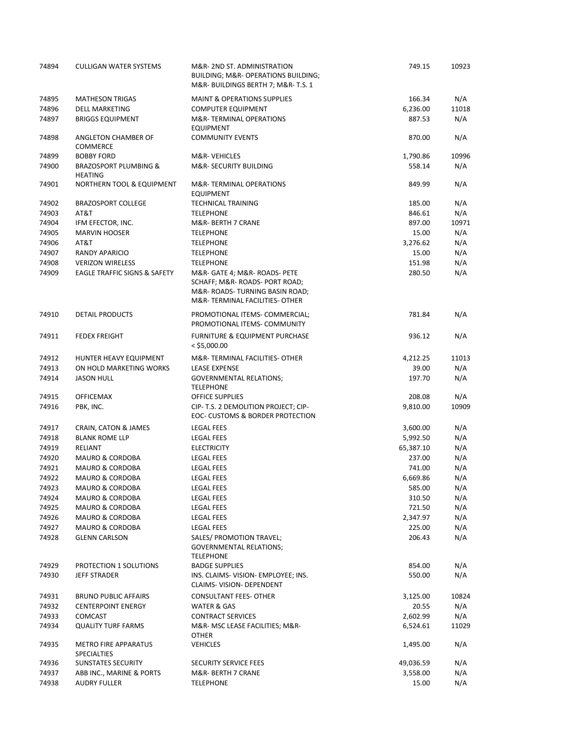| 74894 | <b>CULLIGAN WATER SYSTEMS</b>                      | M&R-2ND ST. ADMINISTRATION<br>BUILDING; M&R- OPERATIONS BUILDING;<br>M&R-BUILDINGS BERTH 7; M&R-T.S. 1                            | 749.15    | 10923 |
|-------|----------------------------------------------------|-----------------------------------------------------------------------------------------------------------------------------------|-----------|-------|
| 74895 | <b>MATHESON TRIGAS</b>                             | <b>MAINT &amp; OPERATIONS SUPPLIES</b>                                                                                            | 166.34    | N/A   |
| 74896 | <b>DELL MARKETING</b>                              | <b>COMPUTER EQUIPMENT</b>                                                                                                         | 6,236.00  | 11018 |
| 74897 | <b>BRIGGS EQUIPMENT</b>                            | M&R-TERMINAL OPERATIONS<br><b>EQUIPMENT</b>                                                                                       | 887.53    | N/A   |
| 74898 | ANGLETON CHAMBER OF<br><b>COMMERCE</b>             | <b>COMMUNITY EVENTS</b>                                                                                                           | 870.00    | N/A   |
| 74899 | <b>BOBBY FORD</b>                                  | M&R-VEHICLES                                                                                                                      | 1,790.86  | 10996 |
| 74900 | <b>BRAZOSPORT PLUMBING &amp;</b><br><b>HEATING</b> | M&R- SECURITY BUILDING                                                                                                            | 558.14    | N/A   |
| 74901 | NORTHERN TOOL & EQUIPMENT                          | M&R-TERMINAL OPERATIONS<br><b>EQUIPMENT</b>                                                                                       | 849.99    | N/A   |
| 74902 | <b>BRAZOSPORT COLLEGE</b>                          | <b>TECHNICAL TRAINING</b>                                                                                                         | 185.00    | N/A   |
| 74903 | AT&T                                               | <b>TELEPHONE</b>                                                                                                                  | 846.61    | N/A   |
| 74904 | IFM EFECTOR, INC.                                  | M&R- BERTH 7 CRANE                                                                                                                | 897.00    | 10971 |
| 74905 | <b>MARVIN HOOSER</b>                               | <b>TELEPHONE</b>                                                                                                                  | 15.00     | N/A   |
| 74906 | AT&T                                               | <b>TELEPHONE</b>                                                                                                                  | 3,276.62  | N/A   |
| 74907 | <b>RANDY APARICIO</b>                              | <b>TELEPHONE</b>                                                                                                                  | 15.00     | N/A   |
| 74908 | <b>VERIZON WIRELESS</b>                            | <b>TELEPHONE</b>                                                                                                                  | 151.98    | N/A   |
| 74909 | <b>EAGLE TRAFFIC SIGNS &amp; SAFETY</b>            | M&R- GATE 4; M&R- ROADS- PETE<br>SCHAFF; M&R- ROADS- PORT ROAD;<br>M&R-ROADS-TURNING BASIN ROAD;<br>M&R-TERMINAL FACILITIES-OTHER | 280.50    | N/A   |
| 74910 | DETAIL PRODUCTS                                    | PROMOTIONAL ITEMS- COMMERCIAL;<br>PROMOTIONAL ITEMS- COMMUNITY                                                                    | 781.84    | N/A   |
| 74911 | <b>FEDEX FREIGHT</b>                               | <b>FURNITURE &amp; EQUIPMENT PURCHASE</b><br>$<$ \$5,000.00                                                                       | 936.12    | N/A   |
| 74912 | HUNTER HEAVY EQUIPMENT                             | M&R-TERMINAL FACILITIES-OTHER                                                                                                     | 4,212.25  | 11013 |
| 74913 | ON HOLD MARKETING WORKS                            | <b>LEASE EXPENSE</b>                                                                                                              | 39.00     | N/A   |
| 74914 | <b>JASON HULL</b>                                  | <b>GOVERNMENTAL RELATIONS;</b><br><b>TELEPHONE</b>                                                                                | 197.70    | N/A   |
| 74915 | <b>OFFICEMAX</b>                                   | <b>OFFICE SUPPLIES</b>                                                                                                            | 208.08    | N/A   |
| 74916 | PBK, INC.                                          | CIP- T.S. 2 DEMOLITION PROJECT; CIP-<br>EOC- CUSTOMS & BORDER PROTECTION                                                          | 9,810.00  | 10909 |
| 74917 | CRAIN, CATON & JAMES                               | <b>LEGAL FEES</b>                                                                                                                 | 3,600.00  | N/A   |
| 74918 | <b>BLANK ROME LLP</b>                              | <b>LEGAL FEES</b>                                                                                                                 | 5,992.50  | N/A   |
| 74919 | <b>RELIANT</b>                                     | <b>ELECTRICITY</b>                                                                                                                | 65,387.10 | N/A   |
| 74920 | <b>MAURO &amp; CORDOBA</b>                         | <b>LEGAL FEES</b>                                                                                                                 | 237.00    | N/A   |
| 74921 | <b>MAURO &amp; CORDOBA</b>                         | <b>LEGAL FEES</b>                                                                                                                 | 741.00    | N/A   |
| 74922 | <b>MAURO &amp; CORDOBA</b>                         | <b>LEGAL FEES</b>                                                                                                                 | 6,669.86  | N/A   |
| 74923 | <b>MAURO &amp; CORDOBA</b>                         | <b>LEGAL FEES</b>                                                                                                                 | 585.00    | N/A   |
| 74924 | <b>MAURO &amp; CORDOBA</b>                         | <b>LEGAL FEES</b>                                                                                                                 | 310.50    | N/A   |
| 74925 | <b>MAURO &amp; CORDOBA</b>                         | LEGAL FEES                                                                                                                        | 721.50    | N/A   |
| 74926 | <b>MAURO &amp; CORDOBA</b>                         | LEGAL FEES                                                                                                                        | 2,347.97  | N/A   |
| 74927 | <b>MAURO &amp; CORDOBA</b>                         | <b>LEGAL FEES</b>                                                                                                                 | 225.00    | N/A   |
| 74928 | <b>GLENN CARLSON</b>                               | SALES/ PROMOTION TRAVEL;<br><b>GOVERNMENTAL RELATIONS;</b><br><b>TELEPHONE</b>                                                    | 206.43    | N/A   |
| 74929 | PROTECTION 1 SOLUTIONS                             | <b>BADGE SUPPLIES</b>                                                                                                             | 854.00    | N/A   |
| 74930 | <b>JEFF STRADER</b>                                | INS. CLAIMS-VISION- EMPLOYEE; INS.<br>CLAIMS- VISION- DEPENDENT                                                                   | 550.00    | N/A   |
| 74931 | <b>BRUNO PUBLIC AFFAIRS</b>                        | <b>CONSULTANT FEES- OTHER</b>                                                                                                     | 3,125.00  | 10824 |
| 74932 | <b>CENTERPOINT ENERGY</b>                          | <b>WATER &amp; GAS</b>                                                                                                            | 20.55     | N/A   |
| 74933 | <b>COMCAST</b>                                     | <b>CONTRACT SERVICES</b>                                                                                                          | 2,602.99  | N/A   |
| 74934 | <b>QUALITY TURF FARMS</b>                          | M&R- MSC LEASE FACILITIES; M&R-<br><b>OTHER</b>                                                                                   | 6,524.61  | 11029 |
| 74935 | <b>METRO FIRE APPARATUS</b><br><b>SPECIALTIES</b>  | <b>VEHICLES</b>                                                                                                                   | 1,495.00  | N/A   |
| 74936 | <b>SUNSTATES SECURITY</b>                          | SECURITY SERVICE FEES                                                                                                             | 49,036.59 | N/A   |
| 74937 | ABB INC., MARINE & PORTS                           | M&R- BERTH 7 CRANE                                                                                                                | 3,558.00  | N/A   |
| 74938 | <b>AUDRY FULLER</b>                                | <b>TELEPHONE</b>                                                                                                                  | 15.00     | N/A   |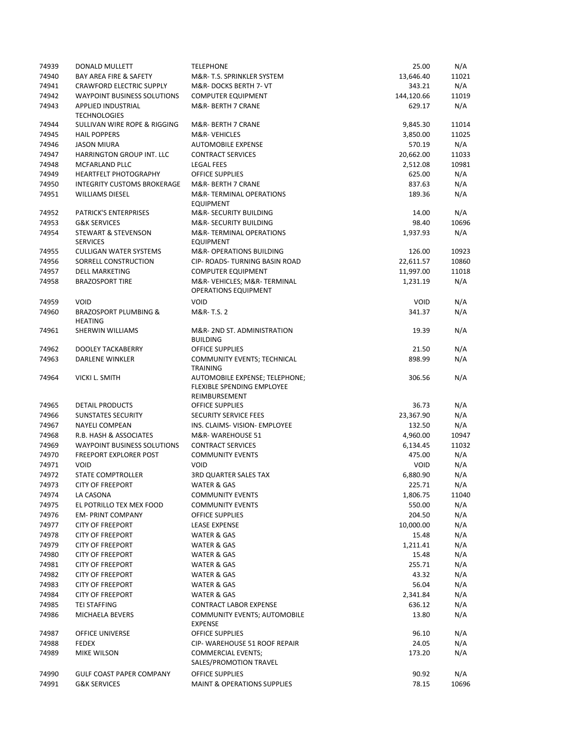| 74939 | DONALD MULLETT                                     | <b>TELEPHONE</b>                                                              | 25.00       | N/A   |
|-------|----------------------------------------------------|-------------------------------------------------------------------------------|-------------|-------|
| 74940 | BAY AREA FIRE & SAFETY                             | M&R-T.S. SPRINKLER SYSTEM                                                     | 13,646.40   | 11021 |
| 74941 | <b>CRAWFORD ELECTRIC SUPPLY</b>                    | M&R-DOCKS BERTH 7- VT                                                         | 343.21      | N/A   |
| 74942 | <b>WAYPOINT BUSINESS SOLUTIONS</b>                 | <b>COMPUTER EQUIPMENT</b>                                                     | 144,120.66  | 11019 |
| 74943 | APPLIED INDUSTRIAL<br><b>TECHNOLOGIES</b>          | M&R- BERTH 7 CRANE                                                            | 629.17      | N/A   |
| 74944 | SULLIVAN WIRE ROPE & RIGGING                       | M&R-BERTH 7 CRANE                                                             | 9,845.30    | 11014 |
| 74945 | <b>HAIL POPPERS</b>                                | M&R-VEHICLES                                                                  | 3,850.00    | 11025 |
| 74946 | <b>JASON MIURA</b>                                 | <b>AUTOMOBILE EXPENSE</b>                                                     | 570.19      | N/A   |
| 74947 | HARRINGTON GROUP INT. LLC                          | <b>CONTRACT SERVICES</b>                                                      | 20,662.00   | 11033 |
| 74948 | MCFARLAND PLLC                                     | <b>LEGAL FEES</b>                                                             | 2,512.08    | 10981 |
| 74949 | <b>HEARTFELT PHOTOGRAPHY</b>                       | <b>OFFICE SUPPLIES</b>                                                        | 625.00      | N/A   |
| 74950 | <b>INTEGRITY CUSTOMS BROKERAGE</b>                 | M&R- BERTH 7 CRANE                                                            | 837.63      | N/A   |
| 74951 | <b>WILLIAMS DIESEL</b>                             | M&R-TERMINAL OPERATIONS<br><b>EQUIPMENT</b>                                   | 189.36      | N/A   |
| 74952 | <b>PATRICK'S ENTERPRISES</b>                       | M&R- SECURITY BUILDING                                                        | 14.00       | N/A   |
| 74953 | <b>G&amp;K SERVICES</b>                            | M&R- SECURITY BUILDING                                                        | 98.40       | 10696 |
| 74954 | <b>STEWART &amp; STEVENSON</b><br><b>SERVICES</b>  | M&R-TERMINAL OPERATIONS<br><b>EQUIPMENT</b>                                   | 1,937.93    | N/A   |
| 74955 | <b>CULLIGAN WATER SYSTEMS</b>                      | M&R- OPERATIONS BUILDING                                                      | 126.00      | 10923 |
| 74956 | SORRELL CONSTRUCTION                               | CIP- ROADS- TURNING BASIN ROAD                                                | 22,611.57   | 10860 |
| 74957 | <b>DELL MARKETING</b>                              | <b>COMPUTER EQUIPMENT</b>                                                     | 11,997.00   | 11018 |
| 74958 | <b>BRAZOSPORT TIRE</b>                             | M&R-VEHICLES M&R-TERMINAL<br><b>OPERATIONS EQUIPMENT</b>                      | 1,231.19    | N/A   |
| 74959 | <b>VOID</b>                                        | <b>VOID</b>                                                                   | <b>VOID</b> | N/A   |
| 74960 | <b>BRAZOSPORT PLUMBING &amp;</b><br><b>HEATING</b> | M&R-T.S. 2                                                                    | 341.37      | N/A   |
| 74961 | <b>SHERWIN WILLIAMS</b>                            | M&R-2ND ST. ADMINISTRATION<br><b>BUILDING</b>                                 | 19.39       | N/A   |
| 74962 | DOOLEY TACKABERRY                                  | <b>OFFICE SUPPLIES</b>                                                        | 21.50       | N/A   |
| 74963 | <b>DARLENE WINKLER</b>                             | COMMUNITY EVENTS; TECHNICAL<br><b>TRAINING</b>                                | 898.99      | N/A   |
| 74964 | VICKI L. SMITH                                     | AUTOMOBILE EXPENSE; TELEPHONE;<br>FLEXIBLE SPENDING EMPLOYEE<br>REIMBURSEMENT | 306.56      | N/A   |
| 74965 | <b>DETAIL PRODUCTS</b>                             | <b>OFFICE SUPPLIES</b>                                                        | 36.73       | N/A   |
| 74966 | <b>SUNSTATES SECURITY</b>                          | SECURITY SERVICE FEES                                                         | 23,367.90   | N/A   |
| 74967 | <b>NAYELI COMPEAN</b>                              | INS. CLAIMS- VISION- EMPLOYEE                                                 | 132.50      | N/A   |
| 74968 | R.B. HASH & ASSOCIATES                             | M&R-WAREHOUSE 51                                                              | 4,960.00    | 10947 |
| 74969 | <b>WAYPOINT BUSINESS SOLUTIONS</b>                 | <b>CONTRACT SERVICES</b>                                                      | 6,134.45    | 11032 |
| 74970 | <b>FREEPORT EXPLORER POST</b>                      | <b>COMMUNITY EVENTS</b>                                                       | 475.00      | N/A   |
| 74971 | <b>VOID</b>                                        | <b>VOID</b>                                                                   | <b>VOID</b> | N/A   |
| 74972 | STATE COMPTROLLER                                  | <b>3RD QUARTER SALES TAX</b>                                                  | 6,880.90    | N/A   |
| 74973 | <b>CITY OF FREEPORT</b>                            | WATER & GAS                                                                   | 225.71      | N/A   |
| 74974 | LA CASONA                                          | <b>COMMUNITY EVENTS</b>                                                       | 1,806.75    | 11040 |
| 74975 | EL POTRILLO TEX MEX FOOD                           | <b>COMMUNITY EVENTS</b>                                                       | 550.00      | N/A   |
| 74976 | <b>EM- PRINT COMPANY</b>                           | OFFICE SUPPLIES                                                               | 204.50      | N/A   |
| 74977 | <b>CITY OF FREEPORT</b>                            | <b>LEASE EXPENSE</b>                                                          | 10,000.00   | N/A   |
| 74978 | <b>CITY OF FREEPORT</b>                            | WATER & GAS                                                                   | 15.48       | N/A   |
| 74979 | <b>CITY OF FREEPORT</b>                            | WATER & GAS                                                                   | 1,211.41    | N/A   |
| 74980 | <b>CITY OF FREEPORT</b>                            | WATER & GAS                                                                   | 15.48       | N/A   |
| 74981 | <b>CITY OF FREEPORT</b>                            | WATER & GAS                                                                   | 255.71      | N/A   |
| 74982 | <b>CITY OF FREEPORT</b>                            | WATER & GAS                                                                   | 43.32       | N/A   |
| 74983 | <b>CITY OF FREEPORT</b>                            | WATER & GAS                                                                   | 56.04       | N/A   |
| 74984 | <b>CITY OF FREEPORT</b>                            | WATER & GAS                                                                   | 2,341.84    | N/A   |
| 74985 | <b>TEI STAFFING</b>                                | <b>CONTRACT LABOR EXPENSE</b>                                                 | 636.12      | N/A   |
| 74986 | MICHAELA BEVERS                                    | <b>COMMUNITY EVENTS; AUTOMOBILE</b><br><b>EXPENSE</b>                         | 13.80       | N/A   |
| 74987 | OFFICE UNIVERSE                                    | OFFICE SUPPLIES                                                               | 96.10       | N/A   |
| 74988 | <b>FEDEX</b>                                       | CIP- WAREHOUSE 51 ROOF REPAIR                                                 | 24.05       | N/A   |
| 74989 | MIKE WILSON                                        | <b>COMMERCIAL EVENTS;</b><br>SALES/PROMOTION TRAVEL                           | 173.20      | N/A   |
| 74990 | <b>GULF COAST PAPER COMPANY</b>                    | <b>OFFICE SUPPLIES</b>                                                        | 90.92       | N/A   |
| 74991 | <b>G&amp;K SERVICES</b>                            | <b>MAINT &amp; OPERATIONS SUPPLIES</b>                                        | 78.15       | 10696 |
|       |                                                    |                                                                               |             |       |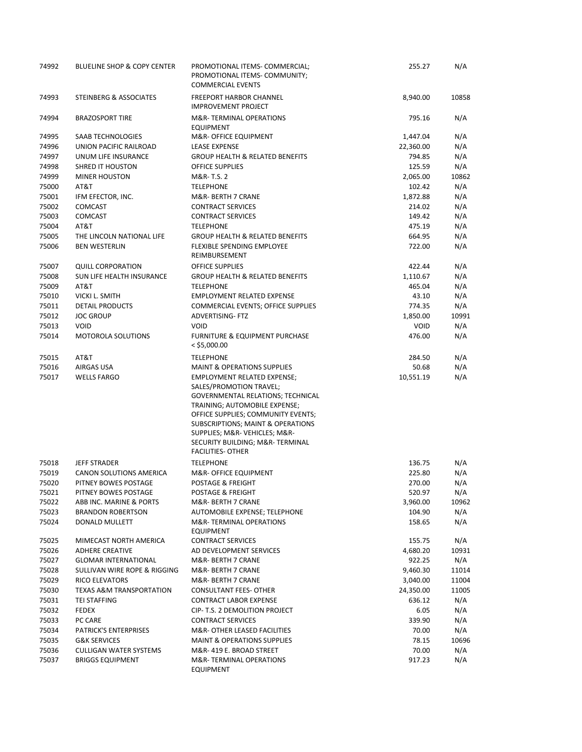| 74992          | BLUELINE SHOP & COPY CENTER                       | PROMOTIONAL ITEMS- COMMERCIAL;<br>PROMOTIONAL ITEMS- COMMUNITY;<br><b>COMMERCIAL EVENTS</b>                                                                                                                                                                                                                  | 255.27                | N/A        |
|----------------|---------------------------------------------------|--------------------------------------------------------------------------------------------------------------------------------------------------------------------------------------------------------------------------------------------------------------------------------------------------------------|-----------------------|------------|
| 74993          | STEINBERG & ASSOCIATES                            | <b>FREEPORT HARBOR CHANNEL</b><br><b>IMPROVEMENT PROJECT</b>                                                                                                                                                                                                                                                 | 8,940.00              | 10858      |
| 74994          | <b>BRAZOSPORT TIRE</b>                            | M&R-TERMINAL OPERATIONS<br><b>EQUIPMENT</b>                                                                                                                                                                                                                                                                  | 795.16                | N/A        |
| 74995          | SAAB TECHNOLOGIES                                 | M&R- OFFICE EQUIPMENT                                                                                                                                                                                                                                                                                        | 1,447.04              | N/A        |
| 74996          | UNION PACIFIC RAILROAD                            | <b>LEASE EXPENSE</b>                                                                                                                                                                                                                                                                                         | 22,360.00             | N/A        |
| 74997          | UNUM LIFE INSURANCE                               | <b>GROUP HEALTH &amp; RELATED BENEFITS</b>                                                                                                                                                                                                                                                                   | 794.85                | N/A        |
| 74998          | <b>SHRED IT HOUSTON</b>                           | <b>OFFICE SUPPLIES</b>                                                                                                                                                                                                                                                                                       | 125.59                | N/A        |
| 74999          | <b>MINER HOUSTON</b>                              | M&R-T.S. 2                                                                                                                                                                                                                                                                                                   | 2,065.00              | 10862      |
| 75000          | AT&T                                              | <b>TELEPHONE</b>                                                                                                                                                                                                                                                                                             | 102.42                | N/A        |
| 75001          | IFM EFECTOR, INC.                                 | M&R- BERTH 7 CRANE                                                                                                                                                                                                                                                                                           | 1,872.88              | N/A        |
| 75002          | <b>COMCAST</b>                                    | <b>CONTRACT SERVICES</b>                                                                                                                                                                                                                                                                                     | 214.02                | N/A        |
| 75003          | <b>COMCAST</b>                                    | <b>CONTRACT SERVICES</b>                                                                                                                                                                                                                                                                                     | 149.42                | N/A        |
| 75004          | AT&T                                              | <b>TELEPHONE</b>                                                                                                                                                                                                                                                                                             | 475.19                | N/A        |
| 75005          | THE LINCOLN NATIONAL LIFE                         | <b>GROUP HEALTH &amp; RELATED BENEFITS</b>                                                                                                                                                                                                                                                                   | 664.95                | N/A        |
| 75006          | <b>BEN WESTERLIN</b>                              | <b>FLEXIBLE SPENDING EMPLOYEE</b><br>REIMBURSEMENT                                                                                                                                                                                                                                                           | 722.00                | N/A        |
| 75007          | <b>QUILL CORPORATION</b>                          | <b>OFFICE SUPPLIES</b>                                                                                                                                                                                                                                                                                       | 422.44                | N/A        |
| 75008          | SUN LIFE HEALTH INSURANCE                         | <b>GROUP HEALTH &amp; RELATED BENEFITS</b>                                                                                                                                                                                                                                                                   | 1,110.67              | N/A        |
| 75009          | AT&T                                              | <b>TELEPHONE</b>                                                                                                                                                                                                                                                                                             | 465.04                | N/A        |
| 75010          | VICKI L. SMITH                                    | <b>EMPLOYMENT RELATED EXPENSE</b>                                                                                                                                                                                                                                                                            | 43.10                 | N/A        |
| 75011          | <b>DETAIL PRODUCTS</b>                            | COMMERCIAL EVENTS; OFFICE SUPPLIES                                                                                                                                                                                                                                                                           | 774.35                | N/A        |
| 75012          | <b>JOC GROUP</b>                                  | <b>ADVERTISING- FTZ</b><br><b>VOID</b>                                                                                                                                                                                                                                                                       | 1,850.00              | 10991      |
| 75013<br>75014 | <b>VOID</b><br><b>MOTOROLA SOLUTIONS</b>          | <b>FURNITURE &amp; EQUIPMENT PURCHASE</b><br>$<$ \$5,000.00                                                                                                                                                                                                                                                  | <b>VOID</b><br>476.00 | N/A<br>N/A |
| 75015          | AT&T                                              | <b>TELEPHONE</b>                                                                                                                                                                                                                                                                                             | 284.50                | N/A        |
| 75016          | AIRGAS USA                                        | <b>MAINT &amp; OPERATIONS SUPPLIES</b>                                                                                                                                                                                                                                                                       | 50.68                 | N/A        |
| 75017          | <b>WELLS FARGO</b>                                | <b>EMPLOYMENT RELATED EXPENSE;</b><br>SALES/PROMOTION TRAVEL;<br>GOVERNMENTAL RELATIONS; TECHNICAL<br>TRAINING; AUTOMOBILE EXPENSE;<br>OFFICE SUPPLIES; COMMUNITY EVENTS;<br>SUBSCRIPTIONS; MAINT & OPERATIONS<br>SUPPLIES; M&R-VEHICLES M&R-<br>SECURITY BUILDING; M&R-TERMINAL<br><b>FACILITIES- OTHER</b> | 10,551.19             | N/A        |
| 75018          | <b>JEFF STRADER</b>                               | <b>TELEPHONE</b>                                                                                                                                                                                                                                                                                             | 136.75                | N/A        |
| 75019          | <b>CANON SOLUTIONS AMERICA</b>                    | M&R- OFFICE EQUIPMENT                                                                                                                                                                                                                                                                                        | 225.80                | N/A        |
| 75020          | PITNEY BOWES POSTAGE                              | POSTAGE & FREIGHT                                                                                                                                                                                                                                                                                            | 270.00                | N/A        |
| 75021          | PITNEY BOWES POSTAGE                              | POSTAGE & FREIGHT                                                                                                                                                                                                                                                                                            | 520.97                | N/A        |
| 75022          | ABB INC. MARINE & PORTS                           | M&R- BERTH 7 CRANE                                                                                                                                                                                                                                                                                           | 3,960.00              | 10962      |
| 75023<br>75024 | <b>BRANDON ROBERTSON</b><br><b>DONALD MULLETT</b> | AUTOMOBILE EXPENSE; TELEPHONE<br>M&R-TERMINAL OPERATIONS<br><b>EQUIPMENT</b>                                                                                                                                                                                                                                 | 104.90<br>158.65      | N/A<br>N/A |
| 75025          | MIMECAST NORTH AMERICA                            | <b>CONTRACT SERVICES</b>                                                                                                                                                                                                                                                                                     | 155.75                | N/A        |
| 75026          | <b>ADHERE CREATIVE</b>                            | AD DEVELOPMENT SERVICES                                                                                                                                                                                                                                                                                      | 4,680.20              | 10931      |
| 75027          | <b>GLOMAR INTERNATIONAL</b>                       | M&R- BERTH 7 CRANE                                                                                                                                                                                                                                                                                           | 922.25                | N/A        |
| 75028          | SULLIVAN WIRE ROPE & RIGGING                      | M&R- BERTH 7 CRANE                                                                                                                                                                                                                                                                                           | 9,460.30              | 11014      |
| 75029          | RICO ELEVATORS                                    | M&R- BERTH 7 CRANE                                                                                                                                                                                                                                                                                           | 3,040.00              | 11004      |
| 75030          | <b>TEXAS A&amp;M TRANSPORTATION</b>               | <b>CONSULTANT FEES- OTHER</b>                                                                                                                                                                                                                                                                                | 24,350.00             | 11005      |
| 75031          | TEI STAFFING                                      | <b>CONTRACT LABOR EXPENSE</b>                                                                                                                                                                                                                                                                                | 636.12                | N/A        |
| 75032          | <b>FEDEX</b>                                      | CIP- T.S. 2 DEMOLITION PROJECT                                                                                                                                                                                                                                                                               | 6.05                  | N/A        |
| 75033          | PC CARE                                           | <b>CONTRACT SERVICES</b>                                                                                                                                                                                                                                                                                     | 339.90                | N/A        |
| 75034          | <b>PATRICK'S ENTERPRISES</b>                      | M&R- OTHER LEASED FACILITIES                                                                                                                                                                                                                                                                                 | 70.00                 | N/A        |
| 75035          | <b>G&amp;K SERVICES</b>                           | <b>MAINT &amp; OPERATIONS SUPPLIES</b>                                                                                                                                                                                                                                                                       | 78.15                 | 10696      |
| 75036          | <b>CULLIGAN WATER SYSTEMS</b>                     | M&R-419 E. BROAD STREET                                                                                                                                                                                                                                                                                      | 70.00                 | N/A        |
| 75037          | <b>BRIGGS EQUIPMENT</b>                           | M&R-TERMINAL OPERATIONS<br><b>EQUIPMENT</b>                                                                                                                                                                                                                                                                  | 917.23                | N/A        |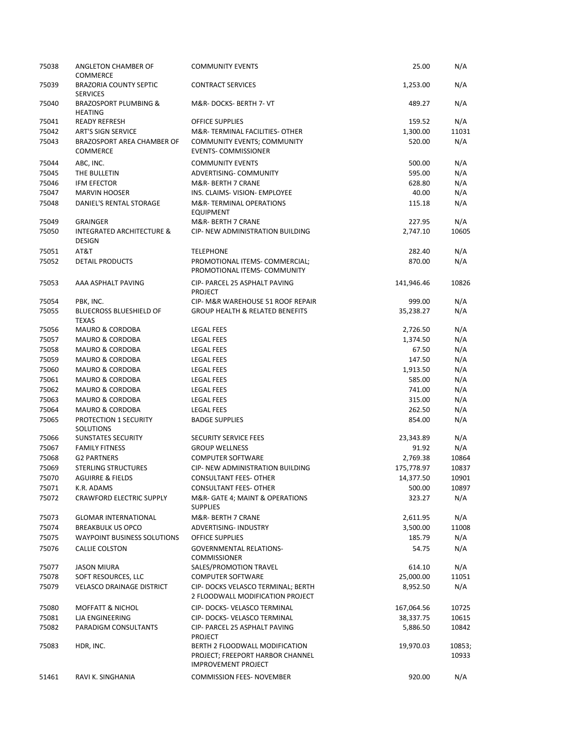| 75038          | ANGLETON CHAMBER OF<br><b>COMMERCE</b>                | <b>COMMUNITY EVENTS</b>                                                                          | 25.00                  | N/A             |
|----------------|-------------------------------------------------------|--------------------------------------------------------------------------------------------------|------------------------|-----------------|
| 75039          | <b>BRAZORIA COUNTY SEPTIC</b><br><b>SERVICES</b>      | <b>CONTRACT SERVICES</b>                                                                         | 1,253.00               | N/A             |
| 75040          | <b>BRAZOSPORT PLUMBING &amp;</b><br><b>HEATING</b>    | M&R-DOCKS-BERTH 7- VT                                                                            | 489.27                 | N/A             |
| 75041          | <b>READY REFRESH</b>                                  | <b>OFFICE SUPPLIES</b>                                                                           | 159.52                 | N/A             |
| 75042          | <b>ART'S SIGN SERVICE</b>                             | M&R-TERMINAL FACILITIES- OTHER                                                                   | 1,300.00               | 11031           |
| 75043          | BRAZOSPORT AREA CHAMBER OF<br><b>COMMERCE</b>         | COMMUNITY EVENTS; COMMUNITY<br><b>EVENTS- COMMISSIONER</b>                                       | 520.00                 | N/A             |
| 75044          | ABC, INC.                                             | <b>COMMUNITY EVENTS</b>                                                                          | 500.00                 | N/A             |
| 75045          | THE BULLETIN                                          | ADVERTISING- COMMUNITY                                                                           | 595.00                 | N/A             |
| 75046          | <b>IFM EFECTOR</b>                                    | M&R- BERTH 7 CRANE                                                                               | 628.80                 | N/A             |
| 75047          | <b>MARVIN HOOSER</b>                                  | INS. CLAIMS- VISION- EMPLOYEE                                                                    | 40.00                  | N/A             |
| 75048          | DANIEL'S RENTAL STORAGE                               | M&R-TERMINAL OPERATIONS<br><b>EQUIPMENT</b>                                                      | 115.18                 | N/A             |
| 75049          | <b>GRAINGER</b>                                       | M&R- BERTH 7 CRANE                                                                               | 227.95                 | N/A             |
| 75050          | <b>INTEGRATED ARCHITECTURE &amp;</b><br><b>DESIGN</b> | CIP- NEW ADMINISTRATION BUILDING                                                                 | 2,747.10               | 10605           |
| 75051          | AT&T                                                  | <b>TELEPHONE</b>                                                                                 | 282.40                 | N/A             |
| 75052          | DETAIL PRODUCTS                                       | PROMOTIONAL ITEMS- COMMERCIAL;<br>PROMOTIONAL ITEMS- COMMUNITY                                   | 870.00                 | N/A             |
| 75053          | AAA ASPHALT PAVING                                    | CIP- PARCEL 25 ASPHALT PAVING<br>PROJECT                                                         | 141,946.46             | 10826           |
| 75054          | PBK, INC.                                             | CIP- M&R WAREHOUSE 51 ROOF REPAIR                                                                | 999.00                 | N/A             |
| 75055          | <b>BLUECROSS BLUESHIELD OF</b><br><b>TEXAS</b>        | <b>GROUP HEALTH &amp; RELATED BENEFITS</b>                                                       | 35,238.27              | N/A             |
| 75056          | <b>MAURO &amp; CORDOBA</b>                            | <b>LEGAL FEES</b>                                                                                | 2,726.50               | N/A             |
| 75057          | <b>MAURO &amp; CORDOBA</b>                            | <b>LEGAL FEES</b>                                                                                | 1,374.50               | N/A             |
| 75058          | MAURO & CORDOBA                                       | <b>LEGAL FEES</b>                                                                                | 67.50                  | N/A             |
| 75059          | <b>MAURO &amp; CORDOBA</b>                            | <b>LEGAL FEES</b>                                                                                | 147.50                 | N/A             |
| 75060          | <b>MAURO &amp; CORDOBA</b>                            | <b>LEGAL FEES</b>                                                                                | 1,913.50               | N/A             |
| 75061          | <b>MAURO &amp; CORDOBA</b>                            | <b>LEGAL FEES</b>                                                                                | 585.00                 | N/A             |
| 75062          | <b>MAURO &amp; CORDOBA</b>                            | <b>LEGAL FEES</b>                                                                                | 741.00                 | N/A             |
| 75063          | <b>MAURO &amp; CORDOBA</b>                            | <b>LEGAL FEES</b>                                                                                | 315.00                 | N/A             |
| 75064<br>75065 | <b>MAURO &amp; CORDOBA</b><br>PROTECTION 1 SECURITY   | <b>LEGAL FEES</b><br><b>BADGE SUPPLIES</b>                                                       | 262.50<br>854.00       | N/A<br>N/A      |
|                | SOLUTIONS                                             |                                                                                                  |                        |                 |
| 75066          | <b>SUNSTATES SECURITY</b>                             | <b>SECURITY SERVICE FEES</b>                                                                     | 23,343.89              | N/A             |
| 75067<br>75068 | <b>FAMILY FITNESS</b><br><b>G2 PARTNERS</b>           | <b>GROUP WELLNESS</b><br><b>COMPUTER SOFTWARE</b>                                                | 91.92                  | N/A<br>10864    |
| 75069          | <b>STERLING STRUCTURES</b>                            | CIP- NEW ADMINISTRATION BUILDING                                                                 | 2,769.38<br>175,778.97 | 10837           |
| 75070          | <b>AGUIRRE &amp; FIELDS</b>                           | <b>CONSULTANT FEES- OTHER</b>                                                                    | 14,377.50              | 10901           |
| 75071          | K.R. ADAMS                                            | <b>CONSULTANT FEES- OTHER</b>                                                                    | 500.00                 | 10897           |
| 75072          | <b>CRAWFORD ELECTRIC SUPPLY</b>                       | M&R- GATE 4; MAINT & OPERATIONS<br><b>SUPPLIES</b>                                               | 323.27                 | N/A             |
| 75073          | <b>GLOMAR INTERNATIONAL</b>                           | M&R- BERTH 7 CRANE                                                                               | 2,611.95               | N/A             |
| 75074          | <b>BREAKBULK US OPCO</b>                              | <b>ADVERTISING- INDUSTRY</b>                                                                     | 3,500.00               | 11008           |
| 75075          | <b>WAYPOINT BUSINESS SOLUTIONS</b>                    | OFFICE SUPPLIES                                                                                  | 185.79                 | N/A             |
| 75076          | CALLIE COLSTON                                        | <b>GOVERNMENTAL RELATIONS-</b><br><b>COMMISSIONER</b>                                            | 54.75                  | N/A             |
| 75077          | <b>JASON MIURA</b>                                    | SALES/PROMOTION TRAVEL                                                                           | 614.10                 | N/A             |
| 75078          | SOFT RESOURCES, LLC                                   | <b>COMPUTER SOFTWARE</b>                                                                         | 25,000.00              | 11051           |
| 75079          | <b>VELASCO DRAINAGE DISTRICT</b>                      | CIP- DOCKS VELASCO TERMINAL; BERTH<br>2 FLOODWALL MODIFICATION PROJECT                           | 8,952.50               | N/A             |
| 75080          | <b>MOFFATT &amp; NICHOL</b>                           | CIP-DOCKS-VELASCO TERMINAL                                                                       | 167,064.56             | 10725           |
| 75081          | LJA ENGINEERING                                       | CIP-DOCKS-VELASCO TERMINAL                                                                       | 38,337.75              | 10615           |
| 75082          | PARADIGM CONSULTANTS                                  | CIP- PARCEL 25 ASPHALT PAVING<br><b>PROJECT</b>                                                  | 5,886.50               | 10842           |
| 75083          | HDR, INC.                                             | BERTH 2 FLOODWALL MODIFICATION<br>PROJECT; FREEPORT HARBOR CHANNEL<br><b>IMPROVEMENT PROJECT</b> | 19,970.03              | 10853;<br>10933 |
| 51461          | RAVI K. SINGHANIA                                     | <b>COMMISSION FEES- NOVEMBER</b>                                                                 | 920.00                 | N/A             |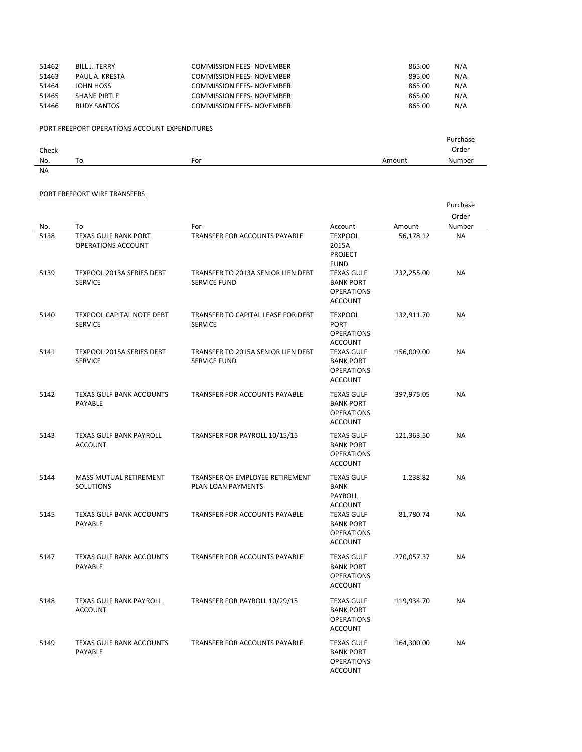| 51462 | BILL J. TERRY  | <b>COMMISSION FEES- NOVEMBER</b> | 865.00 | N/A |
|-------|----------------|----------------------------------|--------|-----|
| 51463 | PAUL A. KRESTA | <b>COMMISSION FEES- NOVEMBER</b> | 895.00 | N/A |
| 51464 | JOHN HOSS      | <b>COMMISSION FEES- NOVEMBER</b> | 865.00 | N/A |
| 51465 | SHANE PIRTLE   | <b>COMMISSION FEES- NOVEMBER</b> | 865.00 | N/A |
| 51466 | RUDY SANTOS    | <b>COMMISSION FEES- NOVEMBER</b> | 865.00 | N/A |

## PORT FREEPORT OPERATIONS ACCOUNT EXPENDITURES

|           |    |     |        | Purchase |
|-----------|----|-----|--------|----------|
| Check     |    |     |        | Order    |
| No.       | To | For | Amount | Number   |
| <b>NA</b> |    |     |        |          |

## PORT FREEPORT WIRE TRANSFERS

|              |                                                                                |                                                                     |                                                                               |                         | Purchase<br>Order      |
|--------------|--------------------------------------------------------------------------------|---------------------------------------------------------------------|-------------------------------------------------------------------------------|-------------------------|------------------------|
| No.          | To                                                                             | For                                                                 | Account                                                                       | Amount                  | Number                 |
| 5138<br>5139 | <b>TEXAS GULF BANK PORT</b><br>OPERATIONS ACCOUNT<br>TEXPOOL 2013A SERIES DEBT | TRANSFER FOR ACCOUNTS PAYABLE<br>TRANSFER TO 2013A SENIOR LIEN DEBT | <b>TEXPOOL</b><br>2015A<br><b>PROJECT</b><br><b>FUND</b><br><b>TEXAS GULF</b> | 56,178.12<br>232,255.00 | <b>NA</b><br><b>NA</b> |
|              | <b>SERVICE</b>                                                                 | <b>SERVICE FUND</b>                                                 | <b>BANK PORT</b><br><b>OPERATIONS</b><br><b>ACCOUNT</b>                       |                         |                        |
| 5140         | <b>TEXPOOL CAPITAL NOTE DEBT</b><br><b>SERVICE</b>                             | TRANSFER TO CAPITAL LEASE FOR DEBT<br><b>SERVICE</b>                | <b>TEXPOOL</b><br><b>PORT</b><br><b>OPERATIONS</b><br><b>ACCOUNT</b>          | 132,911.70              | NA                     |
| 5141         | TEXPOOL 2015A SERIES DEBT<br><b>SERVICE</b>                                    | TRANSFER TO 2015A SENIOR LIEN DEBT<br><b>SERVICE FUND</b>           | <b>TEXAS GULF</b><br><b>BANK PORT</b><br><b>OPERATIONS</b><br><b>ACCOUNT</b>  | 156,009.00              | <b>NA</b>              |
| 5142         | <b>TEXAS GULF BANK ACCOUNTS</b><br><b>PAYABLE</b>                              | <b>TRANSFER FOR ACCOUNTS PAYABLE</b>                                | <b>TEXAS GULF</b><br><b>BANK PORT</b><br><b>OPERATIONS</b><br><b>ACCOUNT</b>  | 397,975.05              | <b>NA</b>              |
| 5143         | <b>TEXAS GULF BANK PAYROLL</b><br><b>ACCOUNT</b>                               | TRANSFER FOR PAYROLL 10/15/15                                       | <b>TEXAS GULF</b><br><b>BANK PORT</b><br><b>OPERATIONS</b><br><b>ACCOUNT</b>  | 121,363.50              | <b>NA</b>              |
| 5144         | MASS MUTUAL RETIREMENT<br>SOLUTIONS                                            | TRANSFER OF EMPLOYEE RETIREMENT<br>PLAN LOAN PAYMENTS               | <b>TEXAS GULF</b><br><b>BANK</b><br><b>PAYROLL</b><br><b>ACCOUNT</b>          | 1,238.82                | ΝA                     |
| 5145         | <b>TEXAS GULF BANK ACCOUNTS</b><br><b>PAYABLE</b>                              | TRANSFER FOR ACCOUNTS PAYABLE                                       | <b>TEXAS GULF</b><br><b>BANK PORT</b><br><b>OPERATIONS</b><br><b>ACCOUNT</b>  | 81,780.74               | <b>NA</b>              |
| 5147         | <b>TEXAS GULF BANK ACCOUNTS</b><br>PAYABLE                                     | <b>TRANSFER FOR ACCOUNTS PAYABLE</b>                                | <b>TEXAS GULF</b><br><b>BANK PORT</b><br><b>OPERATIONS</b><br><b>ACCOUNT</b>  | 270,057.37              | <b>NA</b>              |
| 5148         | <b>TEXAS GULF BANK PAYROLL</b><br><b>ACCOUNT</b>                               | TRANSFER FOR PAYROLL 10/29/15                                       | <b>TEXAS GULF</b><br><b>BANK PORT</b><br><b>OPERATIONS</b><br><b>ACCOUNT</b>  | 119,934.70              | <b>NA</b>              |
| 5149         | <b>TEXAS GULF BANK ACCOUNTS</b><br>PAYABLE                                     | TRANSFER FOR ACCOUNTS PAYABLE                                       | <b>TEXAS GULF</b><br><b>BANK PORT</b><br><b>OPERATIONS</b><br><b>ACCOUNT</b>  | 164,300.00              | <b>NA</b>              |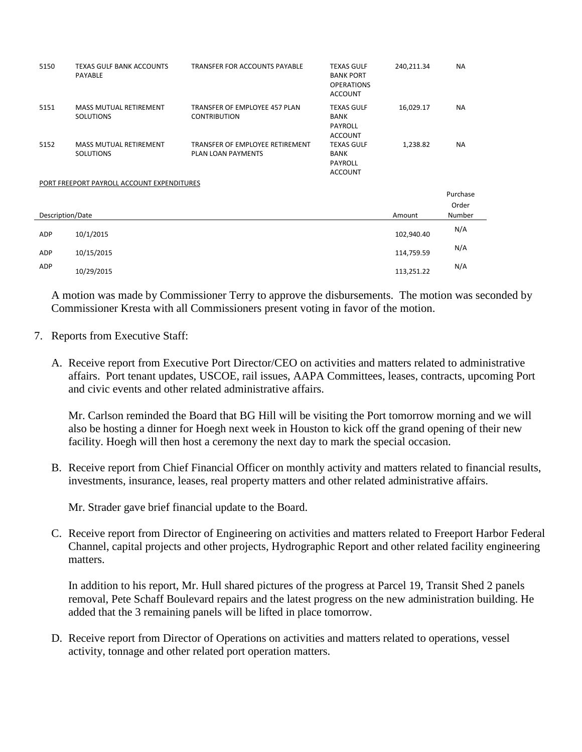| 5150             | <b>TEXAS GULF BANK ACCOUNTS</b><br>PAYABLE        | TRANSFER FOR ACCOUNTS PAYABLE                                | <b>TEXAS GULF</b><br><b>BANK PORT</b><br><b>OPERATIONS</b><br><b>ACCOUNT</b> | 240,211.34 | <b>NA</b> |
|------------------|---------------------------------------------------|--------------------------------------------------------------|------------------------------------------------------------------------------|------------|-----------|
| 5151             | <b>MASS MUTUAL RETIREMENT</b><br><b>SOLUTIONS</b> | TRANSFER OF EMPLOYEE 457 PLAN<br><b>CONTRIBUTION</b>         | <b>TEXAS GULF</b><br><b>BANK</b><br>PAYROLL<br><b>ACCOUNT</b>                | 16,029.17  | <b>NA</b> |
| 5152             | <b>MASS MUTUAL RETIREMENT</b><br><b>SOLUTIONS</b> | TRANSFER OF EMPLOYEE RETIREMENT<br><b>PLAN LOAN PAYMENTS</b> | <b>TEXAS GULF</b><br>BANK<br>PAYROLL<br><b>ACCOUNT</b>                       | 1,238.82   | <b>NA</b> |
|                  | PORT FREEPORT PAYROLL ACCOUNT EXPENDITURES        |                                                              |                                                                              |            |           |
|                  |                                                   |                                                              |                                                                              |            | Purchase  |
|                  |                                                   |                                                              |                                                                              |            | Order     |
| Description/Date |                                                   |                                                              |                                                                              | Amount     | Number    |
| ADP              | 10/1/2015                                         |                                                              |                                                                              | 102,940.40 | N/A       |
| ADP              | 10/15/2015                                        |                                                              |                                                                              | 114,759.59 | N/A       |
| ADP              | 10/29/2015                                        |                                                              |                                                                              | 113,251.22 | N/A       |

A motion was made by Commissioner Terry to approve the disbursements. The motion was seconded by Commissioner Kresta with all Commissioners present voting in favor of the motion.

- 7. Reports from Executive Staff:
	- A. Receive report from Executive Port Director/CEO on activities and matters related to administrative affairs. Port tenant updates, USCOE, rail issues, AAPA Committees, leases, contracts, upcoming Port and civic events and other related administrative affairs.

Mr. Carlson reminded the Board that BG Hill will be visiting the Port tomorrow morning and we will also be hosting a dinner for Hoegh next week in Houston to kick off the grand opening of their new facility. Hoegh will then host a ceremony the next day to mark the special occasion.

B. Receive report from Chief Financial Officer on monthly activity and matters related to financial results, investments, insurance, leases, real property matters and other related administrative affairs.

Mr. Strader gave brief financial update to the Board.

C. Receive report from Director of Engineering on activities and matters related to Freeport Harbor Federal Channel, capital projects and other projects, Hydrographic Report and other related facility engineering matters.

In addition to his report, Mr. Hull shared pictures of the progress at Parcel 19, Transit Shed 2 panels removal, Pete Schaff Boulevard repairs and the latest progress on the new administration building. He added that the 3 remaining panels will be lifted in place tomorrow.

D. Receive report from Director of Operations on activities and matters related to operations, vessel activity, tonnage and other related port operation matters.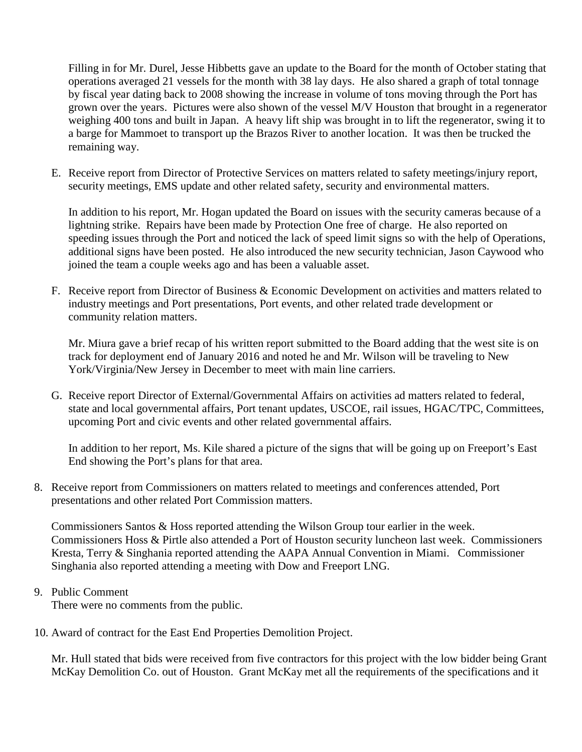Filling in for Mr. Durel, Jesse Hibbetts gave an update to the Board for the month of October stating that operations averaged 21 vessels for the month with 38 lay days. He also shared a graph of total tonnage by fiscal year dating back to 2008 showing the increase in volume of tons moving through the Port has grown over the years. Pictures were also shown of the vessel M/V Houston that brought in a regenerator weighing 400 tons and built in Japan. A heavy lift ship was brought in to lift the regenerator, swing it to a barge for Mammoet to transport up the Brazos River to another location. It was then be trucked the remaining way.

E. Receive report from Director of Protective Services on matters related to safety meetings/injury report, security meetings, EMS update and other related safety, security and environmental matters.

In addition to his report, Mr. Hogan updated the Board on issues with the security cameras because of a lightning strike. Repairs have been made by Protection One free of charge. He also reported on speeding issues through the Port and noticed the lack of speed limit signs so with the help of Operations, additional signs have been posted. He also introduced the new security technician, Jason Caywood who joined the team a couple weeks ago and has been a valuable asset.

F. Receive report from Director of Business & Economic Development on activities and matters related to industry meetings and Port presentations, Port events, and other related trade development or community relation matters.

Mr. Miura gave a brief recap of his written report submitted to the Board adding that the west site is on track for deployment end of January 2016 and noted he and Mr. Wilson will be traveling to New York/Virginia/New Jersey in December to meet with main line carriers.

G. Receive report Director of External/Governmental Affairs on activities ad matters related to federal, state and local governmental affairs, Port tenant updates, USCOE, rail issues, HGAC/TPC, Committees, upcoming Port and civic events and other related governmental affairs.

In addition to her report, Ms. Kile shared a picture of the signs that will be going up on Freeport's East End showing the Port's plans for that area.

8. Receive report from Commissioners on matters related to meetings and conferences attended, Port presentations and other related Port Commission matters.

Commissioners Santos & Hoss reported attending the Wilson Group tour earlier in the week. Commissioners Hoss & Pirtle also attended a Port of Houston security luncheon last week. Commissioners Kresta, Terry & Singhania reported attending the AAPA Annual Convention in Miami. Commissioner Singhania also reported attending a meeting with Dow and Freeport LNG.

## 9. Public Comment

There were no comments from the public.

10. Award of contract for the East End Properties Demolition Project.

Mr. Hull stated that bids were received from five contractors for this project with the low bidder being Grant McKay Demolition Co. out of Houston. Grant McKay met all the requirements of the specifications and it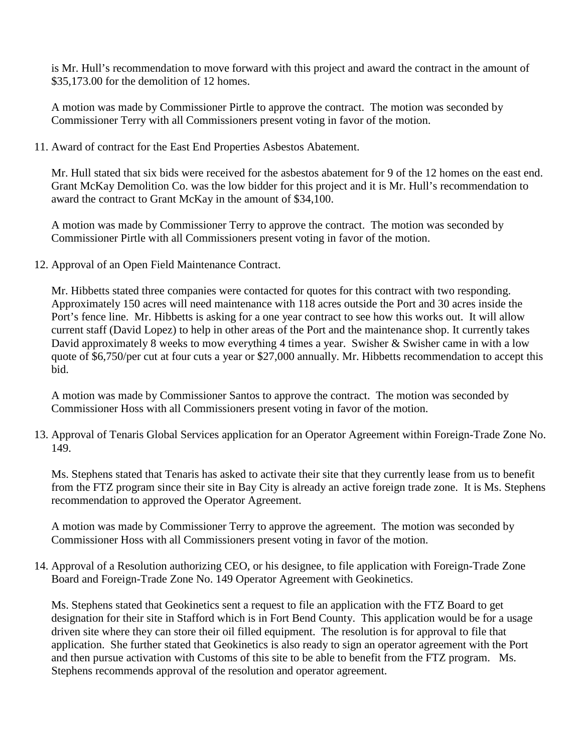is Mr. Hull's recommendation to move forward with this project and award the contract in the amount of \$35,173.00 for the demolition of 12 homes.

A motion was made by Commissioner Pirtle to approve the contract. The motion was seconded by Commissioner Terry with all Commissioners present voting in favor of the motion.

11. Award of contract for the East End Properties Asbestos Abatement.

Mr. Hull stated that six bids were received for the asbestos abatement for 9 of the 12 homes on the east end. Grant McKay Demolition Co. was the low bidder for this project and it is Mr. Hull's recommendation to award the contract to Grant McKay in the amount of \$34,100.

A motion was made by Commissioner Terry to approve the contract. The motion was seconded by Commissioner Pirtle with all Commissioners present voting in favor of the motion.

12. Approval of an Open Field Maintenance Contract.

Mr. Hibbetts stated three companies were contacted for quotes for this contract with two responding. Approximately 150 acres will need maintenance with 118 acres outside the Port and 30 acres inside the Port's fence line. Mr. Hibbetts is asking for a one year contract to see how this works out. It will allow current staff (David Lopez) to help in other areas of the Port and the maintenance shop. It currently takes David approximately 8 weeks to mow everything 4 times a year. Swisher & Swisher came in with a low quote of \$6,750/per cut at four cuts a year or \$27,000 annually. Mr. Hibbetts recommendation to accept this bid.

A motion was made by Commissioner Santos to approve the contract. The motion was seconded by Commissioner Hoss with all Commissioners present voting in favor of the motion.

13. Approval of Tenaris Global Services application for an Operator Agreement within Foreign-Trade Zone No. 149.

Ms. Stephens stated that Tenaris has asked to activate their site that they currently lease from us to benefit from the FTZ program since their site in Bay City is already an active foreign trade zone. It is Ms. Stephens recommendation to approved the Operator Agreement.

A motion was made by Commissioner Terry to approve the agreement. The motion was seconded by Commissioner Hoss with all Commissioners present voting in favor of the motion.

14. Approval of a Resolution authorizing CEO, or his designee, to file application with Foreign-Trade Zone Board and Foreign-Trade Zone No. 149 Operator Agreement with Geokinetics.

Ms. Stephens stated that Geokinetics sent a request to file an application with the FTZ Board to get designation for their site in Stafford which is in Fort Bend County. This application would be for a usage driven site where they can store their oil filled equipment. The resolution is for approval to file that application. She further stated that Geokinetics is also ready to sign an operator agreement with the Port and then pursue activation with Customs of this site to be able to benefit from the FTZ program. Ms. Stephens recommends approval of the resolution and operator agreement.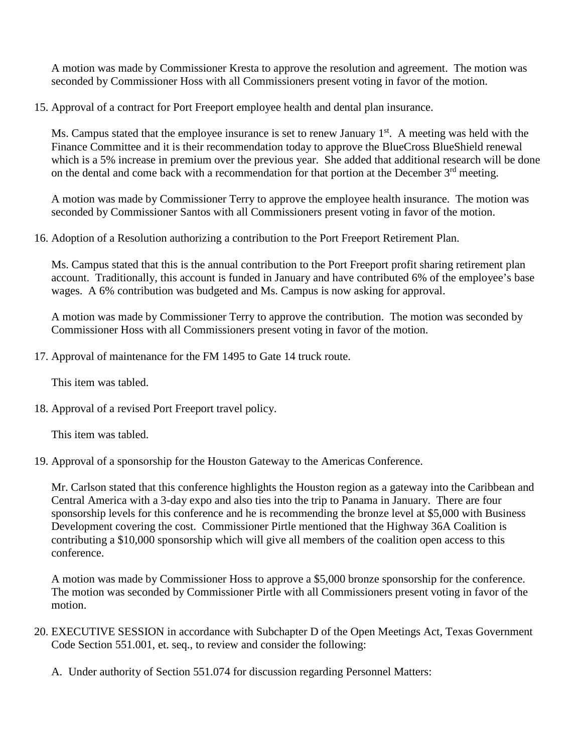A motion was made by Commissioner Kresta to approve the resolution and agreement. The motion was seconded by Commissioner Hoss with all Commissioners present voting in favor of the motion.

15. Approval of a contract for Port Freeport employee health and dental plan insurance.

Ms. Campus stated that the employee insurance is set to renew January  $1<sup>st</sup>$ . A meeting was held with the Finance Committee and it is their recommendation today to approve the BlueCross BlueShield renewal which is a 5% increase in premium over the previous year. She added that additional research will be done on the dental and come back with a recommendation for that portion at the December  $3<sup>rd</sup>$  meeting.

A motion was made by Commissioner Terry to approve the employee health insurance. The motion was seconded by Commissioner Santos with all Commissioners present voting in favor of the motion.

16. Adoption of a Resolution authorizing a contribution to the Port Freeport Retirement Plan.

Ms. Campus stated that this is the annual contribution to the Port Freeport profit sharing retirement plan account. Traditionally, this account is funded in January and have contributed 6% of the employee's base wages. A 6% contribution was budgeted and Ms. Campus is now asking for approval.

A motion was made by Commissioner Terry to approve the contribution. The motion was seconded by Commissioner Hoss with all Commissioners present voting in favor of the motion.

17. Approval of maintenance for the FM 1495 to Gate 14 truck route.

This item was tabled.

18. Approval of a revised Port Freeport travel policy.

This item was tabled.

19. Approval of a sponsorship for the Houston Gateway to the Americas Conference.

Mr. Carlson stated that this conference highlights the Houston region as a gateway into the Caribbean and Central America with a 3-day expo and also ties into the trip to Panama in January. There are four sponsorship levels for this conference and he is recommending the bronze level at \$5,000 with Business Development covering the cost. Commissioner Pirtle mentioned that the Highway 36A Coalition is contributing a \$10,000 sponsorship which will give all members of the coalition open access to this conference.

A motion was made by Commissioner Hoss to approve a \$5,000 bronze sponsorship for the conference. The motion was seconded by Commissioner Pirtle with all Commissioners present voting in favor of the motion.

- 20. EXECUTIVE SESSION in accordance with Subchapter D of the Open Meetings Act, Texas Government Code Section 551.001, et. seq., to review and consider the following:
	- A. Under authority of Section 551.074 for discussion regarding Personnel Matters: